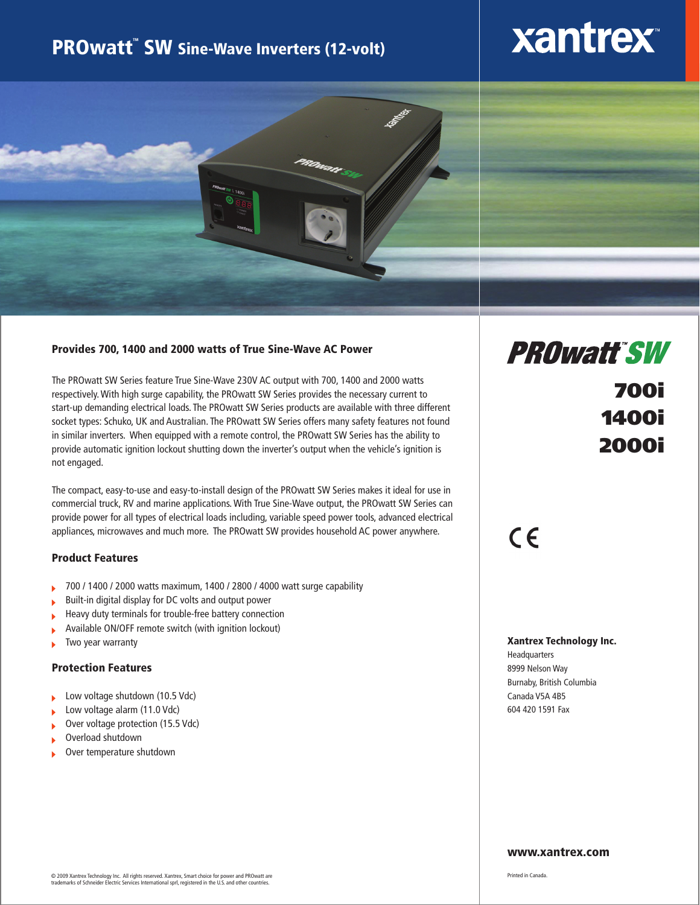### **PROwatt<sup>"</sup> SW Sine-Wave Inverters (12-volt)**

# **xantrex**



### Provides 700, 1400 and 2000 watts of True Sine-Wave AC Power

The PROwatt SW Series feature True Sine-Wave 230V AC output with 700, 1400 and 2000 watts respectively. With high surge capability, the PROwatt SW Series provides the necessary current to start-up demanding electrical loads. The PROwatt SW Series products are available with three different socket types: Schuko, UK and Australian. The PROwatt SW Series offers many safety features not found in similar inverters. When equipped with a remote control, the PROwatt SW Series has the ability to provide automatic ignition lockout shutting down the inverter's output when the vehicle's ignition is not engaged.

The compact, easy-to-use and easy-to-install design of the PROwatt SW Series makes it ideal for use in commercial truck, RV and marine applications. With True Sine-Wave output, the PROwatt SW Series can provide power for all types of electrical loads including, variable speed power tools, advanced electrical appliances, microwaves and much more. The PROwatt SW provides household AC power anywhere.

#### Product Features

- 700 / 1400 / 2000 watts maximum, 1400 / 2800 / 4000 watt surge capability k
- Built-in digital display for DC volts and output power k
- Heavy duty terminals for trouble-free battery connection Ĺ
- Available ON/OFF remote switch (with ignition lockout) b
- Two year warranty ь

### Protection Features

- Low voltage shutdown (10.5 Vdc) k
- Low voltage alarm (11.0 Vdc)
- Over voltage protection (15.5 Vdc)
- Overload shutdown
- Over temperature shutdown

## **PROwatt SW**

### 700i 1400i 2000i

### $C \in$

#### Xantrex Technology Inc.

Headquarters 8999 Nelson Way Burnaby, British Columbia Canada V5A 4B5 604 420 1591 Fax

#### www.xantrex.com